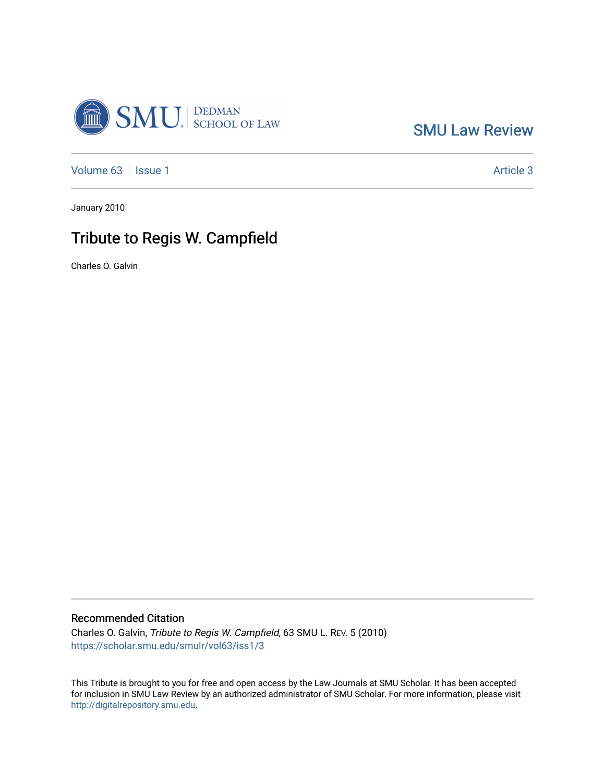

[SMU Law Review](https://scholar.smu.edu/smulr) 

[Volume 63](https://scholar.smu.edu/smulr/vol63) | [Issue 1](https://scholar.smu.edu/smulr/vol63/iss1) Article 3

January 2010

## Tribute to Regis W. Campfield

Charles O. Galvin

## Recommended Citation

Charles O. Galvin, Tribute to Regis W. Campfield, 63 SMU L. REV. 5 (2010) [https://scholar.smu.edu/smulr/vol63/iss1/3](https://scholar.smu.edu/smulr/vol63/iss1/3?utm_source=scholar.smu.edu%2Fsmulr%2Fvol63%2Fiss1%2F3&utm_medium=PDF&utm_campaign=PDFCoverPages) 

This Tribute is brought to you for free and open access by the Law Journals at SMU Scholar. It has been accepted for inclusion in SMU Law Review by an authorized administrator of SMU Scholar. For more information, please visit [http://digitalrepository.smu.edu.](http://digitalrepository.smu.edu/)